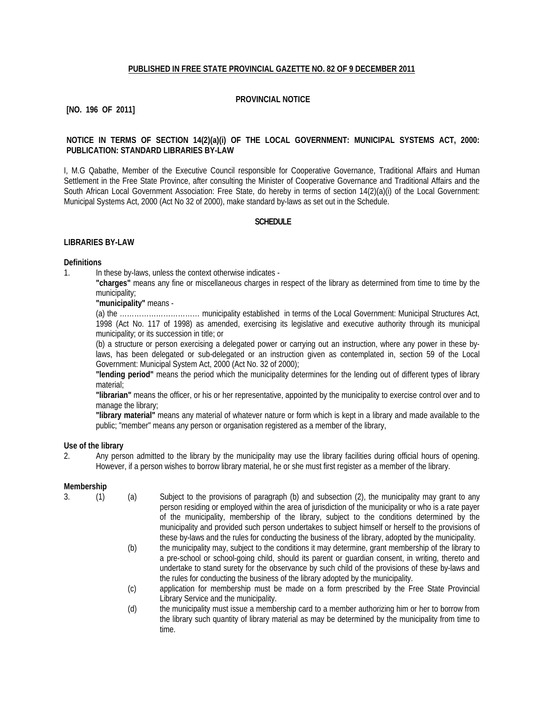## **PUBLISHED IN FREE STATE PROVINCIAL GAZETTE NO. 82 OF 9 DECEMBER 2011**

# **PROVINCIAL NOTICE**

# **[NO. 196 OF 2011]**

## **NOTICE IN TERMS OF SECTION 14(2)(a)(i) OF THE LOCAL GOVERNMENT: MUNICIPAL SYSTEMS ACT, 2000: PUBLICATION: STANDARD LIBRARIES BY-LAW**

I, M.G Qabathe, Member of the Executive Council responsible for Cooperative Governance, Traditional Affairs and Human Settlement in the Free State Province, after consulting the Minister of Cooperative Governance and Traditional Affairs and the South African Local Government Association: Free State, do hereby in terms of section 14(2)(a)(i) of the Local Government: Municipal Systems Act, 2000 (Act No 32 of 2000), make standard by-laws as set out in the Schedule.

## **SCHEDULE**

#### **LIBRARIES BY-LAW**

#### **Definitions**

1. In these by-laws, unless the context otherwise indicates -

**"charges"** means any fine or miscellaneous charges in respect of the library as determined from time to time by the municipality;

**"municipality"** means -

(a) the …………………………… municipality established in terms of the Local Government: Municipal Structures Act, 1998 (Act No. 117 of 1998) as amended, exercising its legislative and executive authority through its municipal municipality; or its succession in title; or

(b) a structure or person exercising a delegated power or carrying out an instruction, where any power in these bylaws, has been delegated or sub-delegated or an instruction given as contemplated in, section 59 of the Local Government: Municipal System Act, 2000 (Act No. 32 of 2000);

**"lending period"** means the period which the municipality determines for the lending out of different types of library material;

**"librarian"** means the officer, or his or her representative, appointed by the municipality to exercise control over and to manage the library;

**"library material"** means any material of whatever nature or form which is kept in a library and made available to the public; "member" means any person or organisation registered as a member of the library,

#### **Use of the library**

2. Any person admitted to the library by the municipality may use the library facilities during official hours of opening. However, if a person wishes to borrow library material, he or she must first register as a member of the library.

#### **Membership**

3. (1) (a) Subject to the provisions of paragraph (b) and subsection (2), the municipality may grant to any person residing or employed within the area of jurisdiction of the municipality or who is a rate payer of the municipality, membership of the library, subject to the conditions determined by the municipality and provided such person undertakes to subject himself or herself to the provisions of these by-laws and the rules for conducting the business of the library, adopted by the municipality.

- (b) the municipality may, subject to the conditions it may determine, grant membership of the library to a pre-school or school-going child, should its parent or guardian consent, in writing, thereto and undertake to stand surety for the observance by such child of the provisions of these by-laws and the rules for conducting the business of the library adopted by the municipality.
- (c) application for membership must be made on a form prescribed by the Free State Provincial Library Service and the municipality.
- (d) the municipality must issue a membership card to a member authorizing him or her to borrow from the library such quantity of library material as may be determined by the municipality from time to time.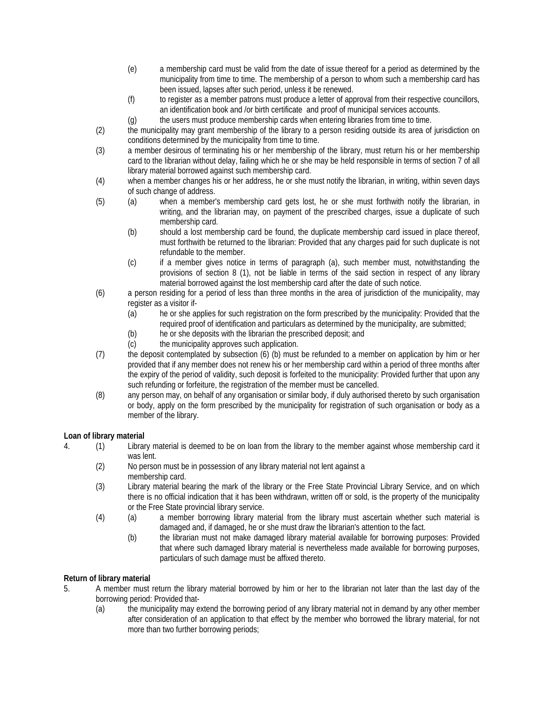- (e) a membership card must be valid from the date of issue thereof for a period as determined by the municipality from time to time. The membership of a person to whom such a membership card has been issued, lapses after such period, unless it be renewed.
- (f) to register as a member patrons must produce a letter of approval from their respective councillors, an identification book and /or birth certificate and proof of municipal services accounts.
- (g) the users must produce membership cards when entering libraries from time to time.
- (2) the municipality may grant membership of the library to a person residing outside its area of jurisdiction on conditions determined by the municipality from time to time.
- (3) a member desirous of terminating his or her membership of the library, must return his or her membership card to the librarian without delay, failing which he or she may be held responsible in terms of section 7 of all library material borrowed against such membership card.
- (4) when a member changes his or her address, he or she must notify the librarian, in writing, within seven days of such change of address.
- (5) (a) when a member's membership card gets lost, he or she must forthwith notify the librarian, in writing, and the librarian may, on payment of the prescribed charges, issue a duplicate of such membership card.
	- (b) should a lost membership card be found, the duplicate membership card issued in place thereof, must forthwith be returned to the librarian: Provided that any charges paid for such duplicate is not refundable to the member.
	- (c) if a member gives notice in terms of paragraph (a), such member must, notwithstanding the provisions of section 8 (1), not be liable in terms of the said section in respect of any library material borrowed against the lost membership card after the date of such notice.
- (6) a person residing for a period of less than three months in the area of jurisdiction of the municipality, may register as a visitor if-
	- (a) he or she applies for such registration on the form prescribed by the municipality: Provided that the required proof of identification and particulars as determined by the municipality, are submitted;
	- (b) he or she deposits with the librarian the prescribed deposit; and
	- (c) the municipality approves such application.
- (7) the deposit contemplated by subsection (6) (b) must be refunded to a member on application by him or her provided that if any member does not renew his or her membership card within a period of three months after the expiry of the period of validity, such deposit is forfeited to the municipality: Provided further that upon any such refunding or forfeiture, the registration of the member must be cancelled.
- (8) any person may, on behalf of any organisation or similar body, if duly authorised thereto by such organisation or body, apply on the form prescribed by the municipality for registration of such organisation or body as a member of the library.

## **Loan of library material**

- 4. (1) Library material is deemed to be on loan from the library to the member against whose membership card it was lent.
	- (2) No person must be in possession of any library material not lent against a membership card.
	- (3) Library material bearing the mark of the library or the Free State Provincial Library Service, and on which there is no official indication that it has been withdrawn, written off or sold, is the property of the municipality or the Free State provincial library service.
	- (4) (a) a member borrowing library material from the library must ascertain whether such material is damaged and, if damaged, he or she must draw the librarian's attention to the fact.
		- (b) the librarian must not make damaged library material available for borrowing purposes: Provided that where such damaged library material is nevertheless made available for borrowing purposes, particulars of such damage must be affixed thereto.

# **Return of library material**

- 5. A member must return the library material borrowed by him or her to the librarian not later than the last day of the borrowing period: Provided that-
	- (a) the municipality may extend the borrowing period of any library material not in demand by any other member after consideration of an application to that effect by the member who borrowed the library material, for not more than two further borrowing periods;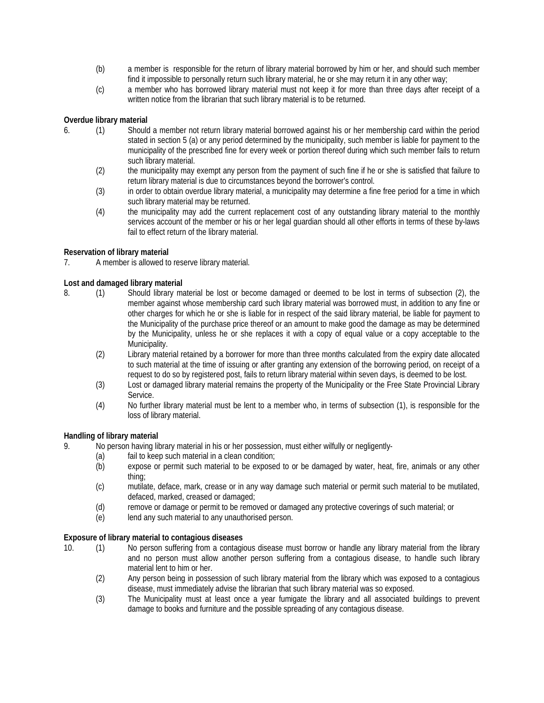- (b) a member is responsible for the return of library material borrowed by him or her, and should such member find it impossible to personally return such library material, he or she may return it in any other way;
- (c) a member who has borrowed library material must not keep it for more than three days after receipt of a written notice from the librarian that such library material is to be returned.

# **Overdue library material**

- 6. (1) Should a member not return library material borrowed against his or her membership card within the period stated in section 5 (a) or any period determined by the municipality, such member is liable for payment to the municipality of the prescribed fine for every week or portion thereof during which such member fails to return such library material.
	- (2) the municipality may exempt any person from the payment of such fine if he or she is satisfied that failure to return library material is due to circumstances beyond the borrower's control.
	- (3) in order to obtain overdue library material, a municipality may determine a fine free period for a time in which such library material may be returned.
	- (4) the municipality may add the current replacement cost of any outstanding library material to the monthly services account of the member or his or her legal guardian should all other efforts in terms of these by-laws fail to effect return of the library material.

## **Reservation of library material**

7. A member is allowed to reserve library material.

# **Lost and damaged library material**

- 8. (1) Should library material be lost or become damaged or deemed to be lost in terms of subsection (2), the member against whose membership card such library material was borrowed must, in addition to any fine or other charges for which he or she is liable for in respect of the said library material, be liable for payment to the Municipality of the purchase price thereof or an amount to make good the damage as may be determined by the Municipality, unless he or she replaces it with a copy of equal value or a copy acceptable to the Municipality.
	- (2) Library material retained by a borrower for more than three months calculated from the expiry date allocated to such material at the time of issuing or after granting any extension of the borrowing period, on receipt of a request to do so by registered post, fails to return library material within seven days, is deemed to be lost.
	- (3) Lost or damaged library material remains the property of the Municipality or the Free State Provincial Library Service.
	- (4) No further library material must be lent to a member who, in terms of subsection (1), is responsible for the loss of library material.

## **Handling of library material**

- 9. No person having library material in his or her possession, must either wilfully or negligently-
	- (a) fail to keep such material in a clean condition;
	- (b) expose or permit such material to be exposed to or be damaged by water, heat, fire, animals or any other thing;
	- (c) mutilate, deface, mark, crease or in any way damage such material or permit such material to be mutilated, defaced, marked, creased or damaged;
	- (d) remove or damage or permit to be removed or damaged any protective coverings of such material; or
	- (e) lend any such material to any unauthorised person.

# **Exposure of library material to contagious diseases**

- 10. (1) No person suffering from a contagious disease must borrow or handle any library material from the library and no person must allow another person suffering from a contagious disease, to handle such library material lent to him or her.
	- (2) Any person being in possession of such library material from the library which was exposed to a contagious disease, must immediately advise the librarian that such library material was so exposed.
	- (3) The Municipality must at least once a year fumigate the library and all associated buildings to prevent damage to books and furniture and the possible spreading of any contagious disease.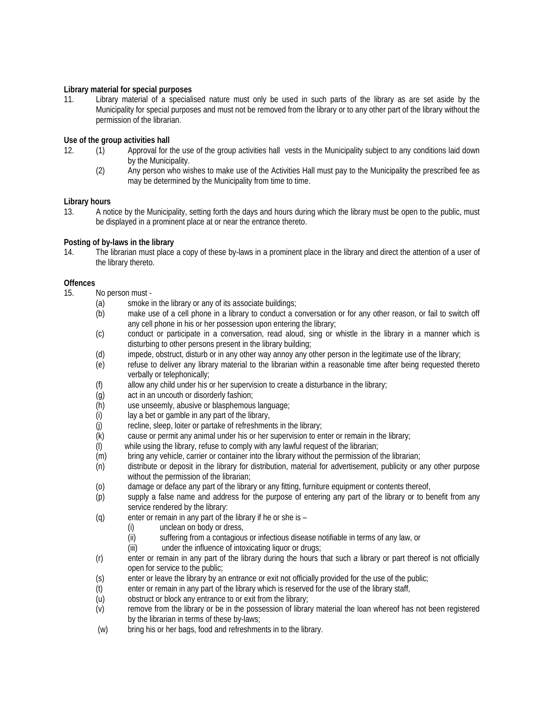# **Library material for special purposes**

11. Library material of a specialised nature must only be used in such parts of the library as are set aside by the Municipality for special purposes and must not be removed from the library or to any other part of the library without the permission of the librarian.

# **Use of the group activities hall**

- 12. (1) Approval for the use of the group activities hall vests in the Municipality subject to any conditions laid down by the Municipality.
	- (2) Any person who wishes to make use of the Activities Hall must pay to the Municipality the prescribed fee as may be determined by the Municipality from time to time.

## **Library hours**

13. A notice by the Municipality, setting forth the days and hours during which the library must be open to the public, must be displayed in a prominent place at or near the entrance thereto.

# **Posting of by-laws in the library**

14. The librarian must place a copy of these by-laws in a prominent place in the library and direct the attention of a user of the library thereto.

# **Offences**

- 15. No person must
	- (a) smoke in the library or any of its associate buildings;<br>(b) make use of a cell phone in a library to conduct a c
	- make use of a cell phone in a library to conduct a conversation or for any other reason, or fail to switch off any cell phone in his or her possession upon entering the library;
	- (c) conduct or participate in a conversation, read aloud, sing or whistle in the library in a manner which is disturbing to other persons present in the library building;
	- (d) impede, obstruct, disturb or in any other way annoy any other person in the legitimate use of the library;
	- (e) refuse to deliver any library material to the librarian within a reasonable time after being requested thereto verbally or telephonically;
	- (f) allow any child under his or her supervision to create a disturbance in the library;
	- (g) act in an uncouth or disorderly fashion;
	- (h) use unseemly, abusive or blasphemous language;<br>(i) lay a bet or gamble in any part of the library,
	- (i) lay a bet or gamble in any part of the library,<br>(j) recline, sleep, loiter or partake of refreshmen
	- recline, sleep, loiter or partake of refreshments in the library;
	- (k) cause or permit any animal under his or her supervision to enter or remain in the library;
	- (l) while using the library, refuse to comply with any lawful request of the librarian;
	- (m) bring any vehicle, carrier or container into the library without the permission of the librarian;
	- (n) distribute or deposit in the library for distribution, material for advertisement, publicity or any other purpose without the permission of the librarian;
	- (o) damage or deface any part of the library or any fitting, furniture equipment or contents thereof,
	- (p) supply a false name and address for the purpose of entering any part of the library or to benefit from any service rendered by the library:
	- (q) enter or remain in any part of the library if he or she is
		- (i) unclean on body or dress,
		- (ii) suffering from a contagious or infectious disease notifiable in terms of any law, or
		- (iii) under the influence of intoxicating liquor or drugs;
	- (r) enter or remain in any part of the library during the hours that such *a* library or part thereof is not officially open for service to the public;
	- (s) enter or leave the library by an entrance or exit not officially provided for the use of the public;
	- (t) enter or remain in any part of the library which is reserved for the use of the library staff,
	- (u) obstruct or block any entrance to or exit from the library;
	- (v) remove from the library or be in the possession of library material the loan whereof has not been registered by the librarian in terms of these by-laws;
	- (w) bring his or her bags, food and refreshments in to the library.